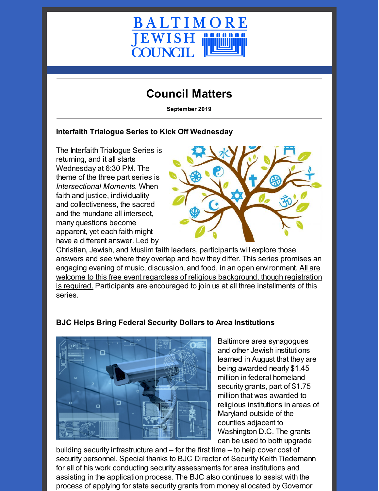

## **Council Matters**

**September 2019**

#### **Interfaith Trialogue Series to Kick Off Wednesday**

The Interfaith Trialogue Series is returning, and it all starts Wednesday at 6:30 PM. The theme of the three part series is *Intersectional Moments.* When faith and justice, individuality and collectiveness, the sacred and the mundane all intersect, many questions become apparent, yet each faith might have a different answer. Led by



Christian, Jewish, and Muslim faith leaders, participants will explore those answers and see where they overlap and how they differ. This series promises an engaging evening of music, discussion, and food, in an open [environment.](https://www.picatic.com/trialogue) All are welcome to this free event regardless of religious background, though registration is required. Participants are encouraged to join us at all three installments of this series.

# **BJC Helps Bring Federal Security Dollars to Area Institutions**



Baltimore area synagogues and other Jewish institutions learned in August that they are being awarded nearly \$1.45 million in federal homeland security grants, part of \$1.75 million that was awarded to religious institutions in areas of Maryland outside of the counties adjacent to Washington D.C. The grants can be used to both upgrade

building security infrastructure and – for the first time – to help cover cost of security personnel. Special thanks to BJC Director of Security Keith Tiedemann for all of his work conducting security assessments for area institutions and assisting in the application process. The BJC also continues to assist with the process of applying for state security grants from money allocated by Governor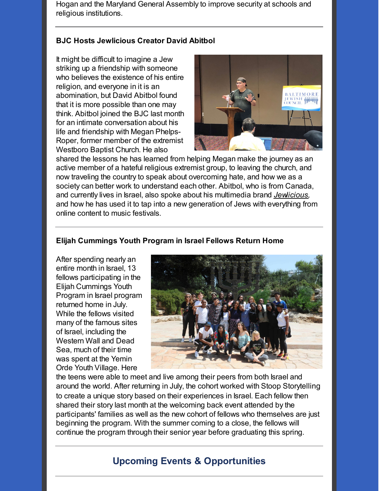Hogan and the Maryland General Assembly to improve security at schools and religious institutions.

#### **BJC Hosts Jewlicious Creator David Abitbol**

It might be difficult to imagine a Jew striking up a friendship with someone who believes the existence of his entire religion, and everyone in it is an abomination, but David Abitbol found that it is more possible than one may think. Abitbol joined the BJC last month for an intimate conversation about his life and friendship with Megan Phelps-Roper, former member of the extremist Westboro Baptist Church. He also



shared the lessons he has learned from helping Megan make the journey as an active member of a hateful religious extremist group, to leaving the church, and now traveling the country to speak about overcoming hate, and how we as a society can better work to understand each other. Abitbol, who is from Canada, and currently lives in Israel, also spoke about his multimedia brand *[Jewlicious](http://jewlicious.com),* and how he has used it to tap into a new generation of Jews with everything from online content to music festivals.

#### **Elijah Cummings Youth Program in Israel Fellows Return Home**

After spending nearly an entire month in Israel, 13 fellows participating in the Elijah Cummings Youth Program in Israel program returned home in July. While the fellows visited many of the famous sites of Israel, including the Western Wall and Dead Sea, much of their time was spent at the Yemin Orde Youth Village. Here



the teens were able to meet and live among their peers from both Israel and around the world. After returning in July, the cohort worked with Stoop Storytelling to create a unique story based on their experiences in Israel. Each fellow then shared their story last month at the welcoming back event attended by the participants' families as well as the new cohort of fellows who themselves are just beginning the program. With the summer coming to a close, the fellows will continue the program through their senior year before graduating this spring.

### **Upcoming Events & Opportunities**